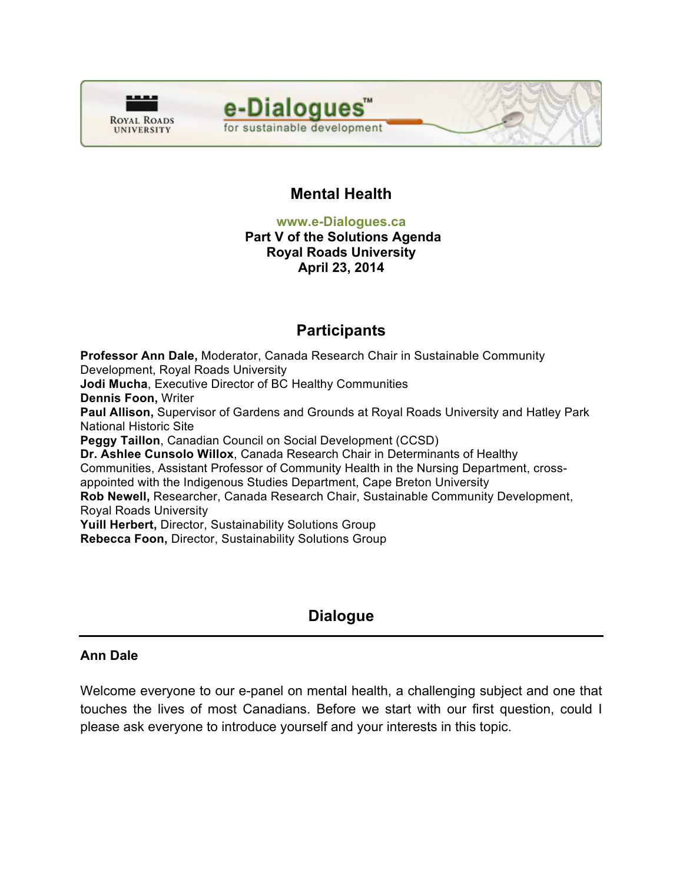



# **Mental Health**

**www.e-Dialogues.ca** 

#### **Part V of the Solutions Agenda Royal Roads University April 23, 2014**

# **Participants**

**Professor Ann Dale,** Moderator, Canada Research Chair in Sustainable Community Development, Royal Roads University **Jodi Mucha**, Executive Director of BC Healthy Communities **Dennis Foon,** Writer **Paul Allison,** Supervisor of Gardens and Grounds at Royal Roads University and Hatley Park National Historic Site **Peggy Taillon**, Canadian Council on Social Development (CCSD) **Dr. Ashlee Cunsolo Willox**, Canada Research Chair in Determinants of Healthy Communities, Assistant Professor of Community Health in the Nursing Department, crossappointed with the Indigenous Studies Department, Cape Breton University **Rob Newell,** Researcher, Canada Research Chair, Sustainable Community Development, Royal Roads University **Yuill Herbert,** Director, Sustainability Solutions Group **Rebecca Foon,** Director, Sustainability Solutions Group

# **Dialogue**

# **Ann Dale**

Welcome everyone to our e-panel on mental health, a challenging subject and one that touches the lives of most Canadians. Before we start with our first question, could I please ask everyone to introduce yourself and your interests in this topic.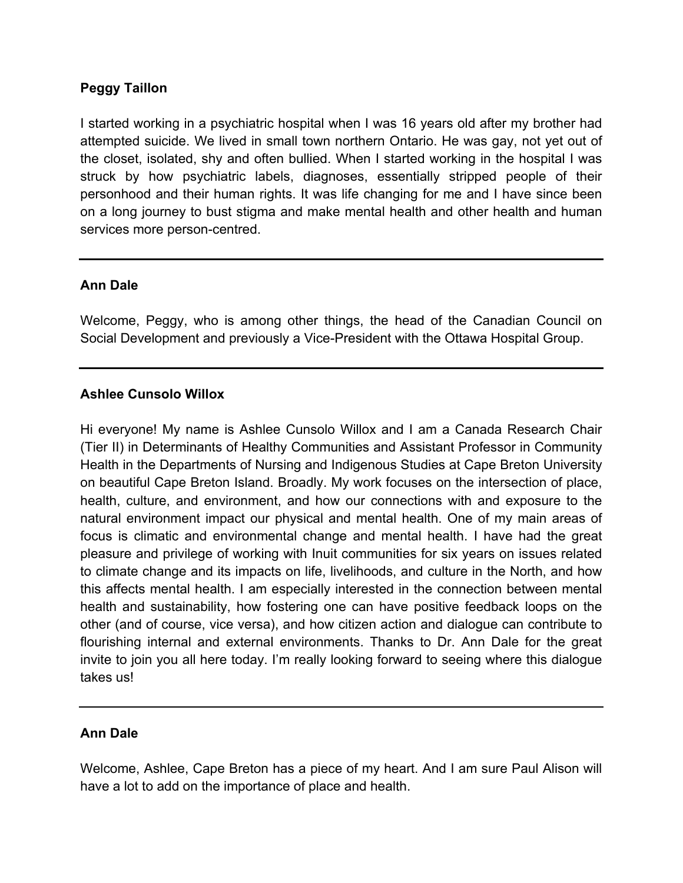# **Peggy Taillon**

I started working in a psychiatric hospital when I was 16 years old after my brother had attempted suicide. We lived in small town northern Ontario. He was gay, not yet out of the closet, isolated, shy and often bullied. When I started working in the hospital I was struck by how psychiatric labels, diagnoses, essentially stripped people of their personhood and their human rights. It was life changing for me and I have since been on a long journey to bust stigma and make mental health and other health and human services more person-centred.

# **Ann Dale**

Welcome, Peggy, who is among other things, the head of the Canadian Council on Social Development and previously a Vice-President with the Ottawa Hospital Group.

# **Ashlee Cunsolo Willox**

Hi everyone! My name is Ashlee Cunsolo Willox and I am a Canada Research Chair (Tier II) in Determinants of Healthy Communities and Assistant Professor in Community Health in the Departments of Nursing and Indigenous Studies at Cape Breton University on beautiful Cape Breton Island. Broadly. My work focuses on the intersection of place, health, culture, and environment, and how our connections with and exposure to the natural environment impact our physical and mental health. One of my main areas of focus is climatic and environmental change and mental health. I have had the great pleasure and privilege of working with Inuit communities for six years on issues related to climate change and its impacts on life, livelihoods, and culture in the North, and how this affects mental health. I am especially interested in the connection between mental health and sustainability, how fostering one can have positive feedback loops on the other (and of course, vice versa), and how citizen action and dialogue can contribute to flourishing internal and external environments. Thanks to Dr. Ann Dale for the great invite to join you all here today. I'm really looking forward to seeing where this dialogue takes us!

# **Ann Dale**

Welcome, Ashlee, Cape Breton has a piece of my heart. And I am sure Paul Alison will have a lot to add on the importance of place and health.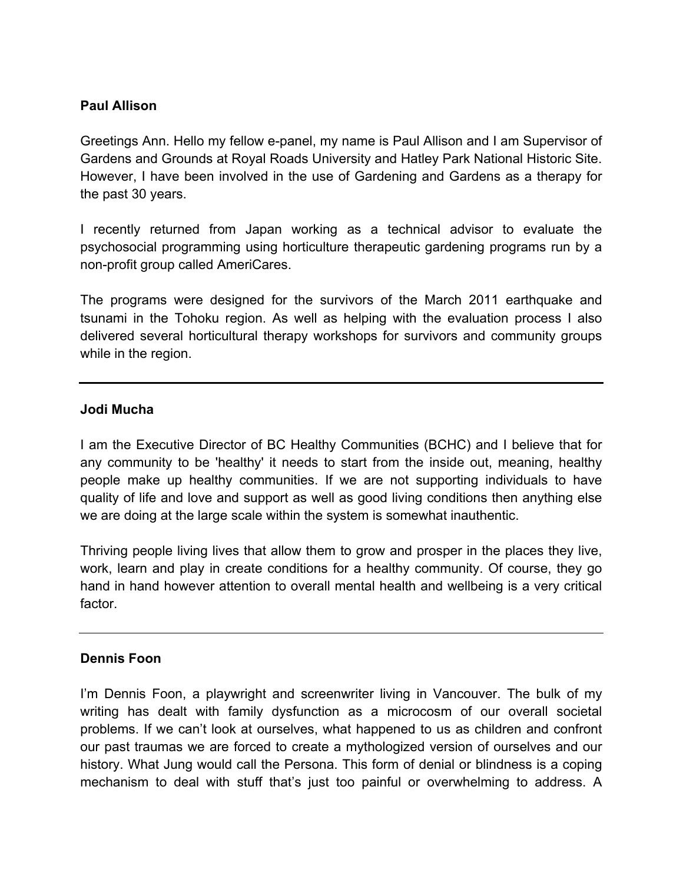# **Paul Allison**

Greetings Ann. Hello my fellow e-panel, my name is Paul Allison and I am Supervisor of Gardens and Grounds at Royal Roads University and Hatley Park National Historic Site. However, I have been involved in the use of Gardening and Gardens as a therapy for the past 30 years.

I recently returned from Japan working as a technical advisor to evaluate the psychosocial programming using horticulture therapeutic gardening programs run by a non-profit group called AmeriCares.

The programs were designed for the survivors of the March 2011 earthquake and tsunami in the Tohoku region. As well as helping with the evaluation process I also delivered several horticultural therapy workshops for survivors and community groups while in the region.

# **Jodi Mucha**

I am the Executive Director of BC Healthy Communities (BCHC) and I believe that for any community to be 'healthy' it needs to start from the inside out, meaning, healthy people make up healthy communities. If we are not supporting individuals to have quality of life and love and support as well as good living conditions then anything else we are doing at the large scale within the system is somewhat inauthentic.

Thriving people living lives that allow them to grow and prosper in the places they live, work, learn and play in create conditions for a healthy community. Of course, they go hand in hand however attention to overall mental health and wellbeing is a very critical factor.

# **Dennis Foon**

I'm Dennis Foon, a playwright and screenwriter living in Vancouver. The bulk of my writing has dealt with family dysfunction as a microcosm of our overall societal problems. If we can't look at ourselves, what happened to us as children and confront our past traumas we are forced to create a mythologized version of ourselves and our history. What Jung would call the Persona. This form of denial or blindness is a coping mechanism to deal with stuff that's just too painful or overwhelming to address. A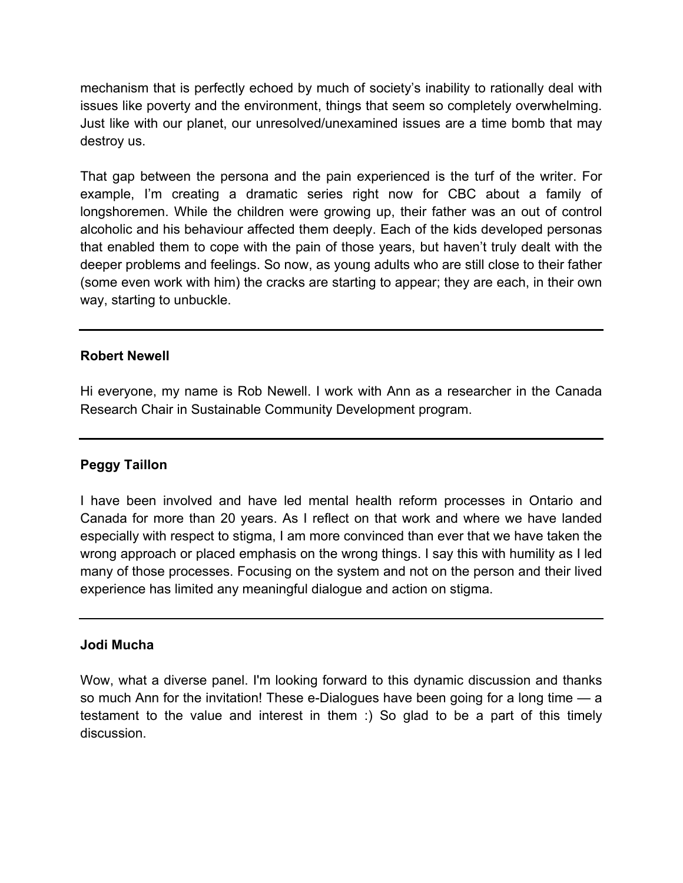mechanism that is perfectly echoed by much of society's inability to rationally deal with issues like poverty and the environment, things that seem so completely overwhelming. Just like with our planet, our unresolved/unexamined issues are a time bomb that may destroy us.

That gap between the persona and the pain experienced is the turf of the writer. For example, I'm creating a dramatic series right now for CBC about a family of longshoremen. While the children were growing up, their father was an out of control alcoholic and his behaviour affected them deeply. Each of the kids developed personas that enabled them to cope with the pain of those years, but haven't truly dealt with the deeper problems and feelings. So now, as young adults who are still close to their father (some even work with him) the cracks are starting to appear; they are each, in their own way, starting to unbuckle.

# **Robert Newell**

Hi everyone, my name is Rob Newell. I work with Ann as a researcher in the Canada Research Chair in Sustainable Community Development program.

# **Peggy Taillon**

I have been involved and have led mental health reform processes in Ontario and Canada for more than 20 years. As I reflect on that work and where we have landed especially with respect to stigma, I am more convinced than ever that we have taken the wrong approach or placed emphasis on the wrong things. I say this with humility as I led many of those processes. Focusing on the system and not on the person and their lived experience has limited any meaningful dialogue and action on stigma.

# **Jodi Mucha**

Wow, what a diverse panel. I'm looking forward to this dynamic discussion and thanks so much Ann for the invitation! These e-Dialogues have been going for a long time — a testament to the value and interest in them :) So glad to be a part of this timely discussion.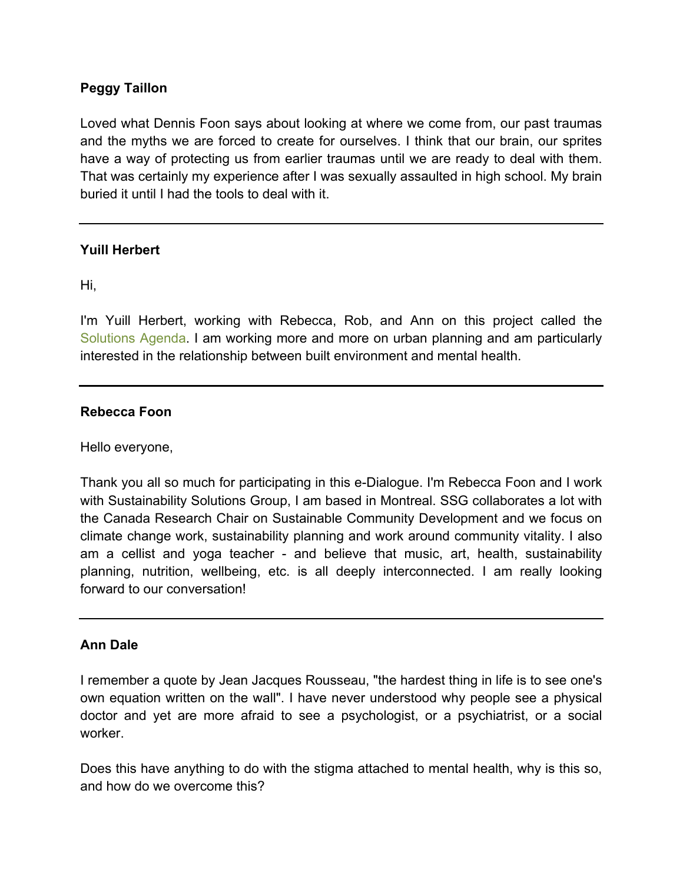# **Peggy Taillon**

Loved what Dennis Foon says about looking at where we come from, our past traumas and the myths we are forced to create for ourselves. I think that our brain, our sprites have a way of protecting us from earlier traumas until we are ready to deal with them. That was certainly my experience after I was sexually assaulted in high school. My brain buried it until I had the tools to deal with it.

# **Yuill Herbert**

Hi,

I'm Yuill Herbert, working with Rebecca, Rob, and Ann on this project called the [Solutions Agenda.](http://www.crcresearch.org/solutions-agenda) I am working more and more on urban planning and am particularly interested in the relationship between built environment and mental health.

#### **Rebecca Foon**

Hello everyone,

Thank you all so much for participating in this e-Dialogue. I'm Rebecca Foon and I work with Sustainability Solutions Group, I am based in Montreal. SSG collaborates a lot with the Canada Research Chair on Sustainable Community Development and we focus on climate change work, sustainability planning and work around community vitality. I also am a cellist and yoga teacher - and believe that music, art, health, sustainability planning, nutrition, wellbeing, etc. is all deeply interconnected. I am really looking forward to our conversation!

# **Ann Dale**

I remember a quote by Jean Jacques Rousseau, "the hardest thing in life is to see one's own equation written on the wall". I have never understood why people see a physical doctor and yet are more afraid to see a psychologist, or a psychiatrist, or a social worker.

Does this have anything to do with the stigma attached to mental health, why is this so, and how do we overcome this?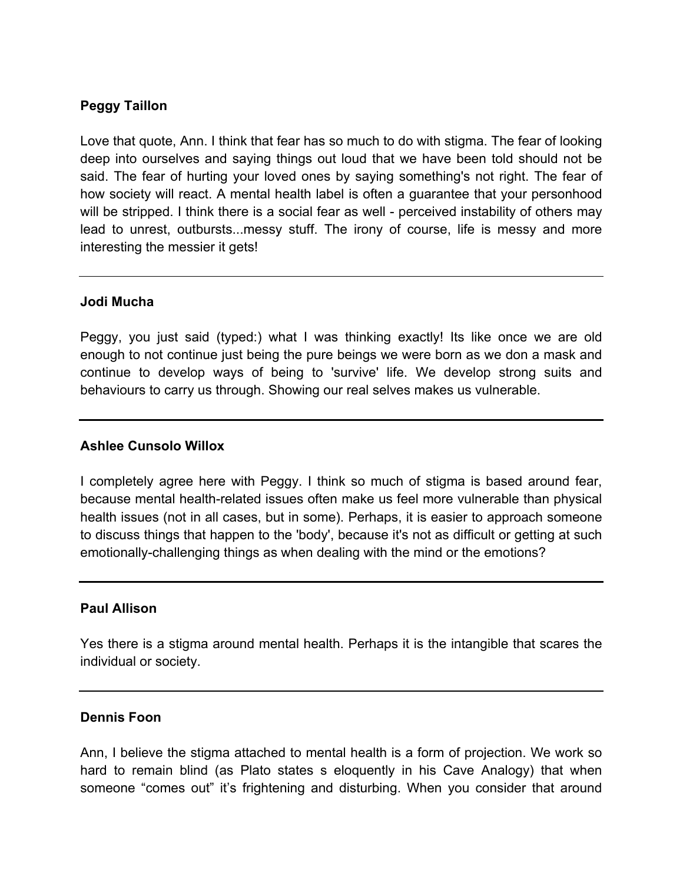# **Peggy Taillon**

Love that quote, Ann. I think that fear has so much to do with stigma. The fear of looking deep into ourselves and saying things out loud that we have been told should not be said. The fear of hurting your loved ones by saying something's not right. The fear of how society will react. A mental health label is often a guarantee that your personhood will be stripped. I think there is a social fear as well - perceived instability of others may lead to unrest, outbursts...messy stuff. The irony of course, life is messy and more interesting the messier it gets!

# **Jodi Mucha**

Peggy, you just said (typed:) what I was thinking exactly! Its like once we are old enough to not continue just being the pure beings we were born as we don a mask and continue to develop ways of being to 'survive' life. We develop strong suits and behaviours to carry us through. Showing our real selves makes us vulnerable.

# **Ashlee Cunsolo Willox**

I completely agree here with Peggy. I think so much of stigma is based around fear, because mental health-related issues often make us feel more vulnerable than physical health issues (not in all cases, but in some). Perhaps, it is easier to approach someone to discuss things that happen to the 'body', because it's not as difficult or getting at such emotionally-challenging things as when dealing with the mind or the emotions?

# **Paul Allison**

Yes there is a stigma around mental health. Perhaps it is the intangible that scares the individual or society.

# **Dennis Foon**

Ann, I believe the stigma attached to mental health is a form of projection. We work so hard to remain blind (as Plato states s eloquently in his Cave Analogy) that when someone "comes out" it's frightening and disturbing. When you consider that around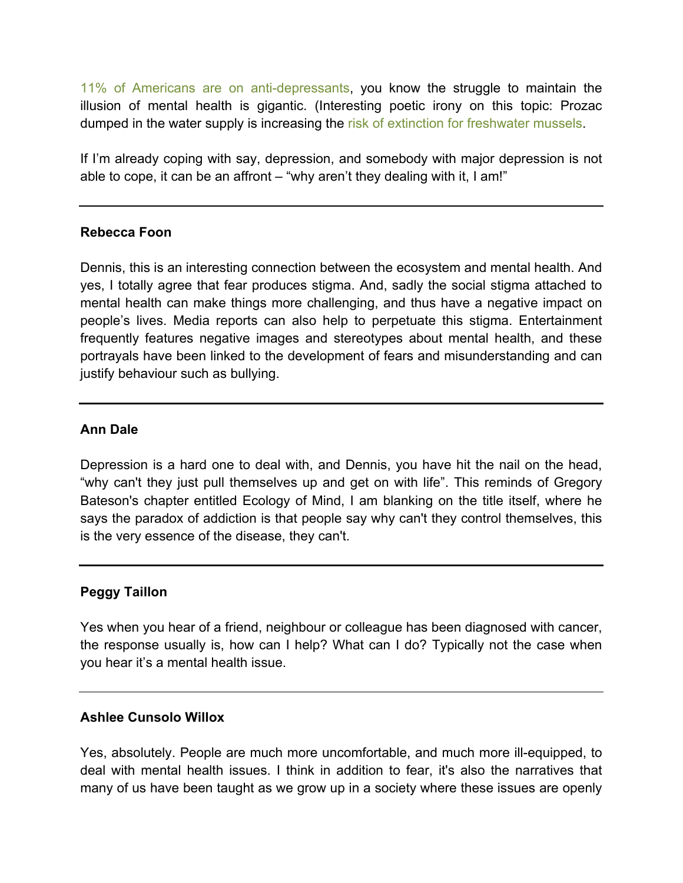[11% of Americans are on anti-depressants,](http://www.health.harvard.edu/blog/astounding-increase-in-antidepressant-use-by-americans-201110203624) you know the struggle to maintain the illusion of mental health is gigantic. (Interesting poetic irony on this topic: Prozac dumped in the water supply is increasing the [risk of extinction for freshwater mussels](http://www.sciencedaily.com/releases/2006/09/060914153812.htm).

If I'm already coping with say, depression, and somebody with major depression is not able to cope, it can be an affront – "why aren't they dealing with it, I am!"

# **Rebecca Foon**

Dennis, this is an interesting connection between the ecosystem and mental health. And yes, I totally agree that fear produces stigma. And, sadly the social stigma attached to mental health can make things more challenging, and thus have a negative impact on people's lives. Media reports can also help to perpetuate this stigma. Entertainment frequently features negative images and stereotypes about mental health, and these portrayals have been linked to the development of fears and misunderstanding and can justify behaviour such as bullying.

# **Ann Dale**

Depression is a hard one to deal with, and Dennis, you have hit the nail on the head, "why can't they just pull themselves up and get on with life". This reminds of Gregory Bateson's chapter entitled Ecology of Mind, I am blanking on the title itself, where he says the paradox of addiction is that people say why can't they control themselves, this is the very essence of the disease, they can't.

# **Peggy Taillon**

Yes when you hear of a friend, neighbour or colleague has been diagnosed with cancer, the response usually is, how can I help? What can I do? Typically not the case when you hear it's a mental health issue.

# **Ashlee Cunsolo Willox**

Yes, absolutely. People are much more uncomfortable, and much more ill-equipped, to deal with mental health issues. I think in addition to fear, it's also the narratives that many of us have been taught as we grow up in a society where these issues are openly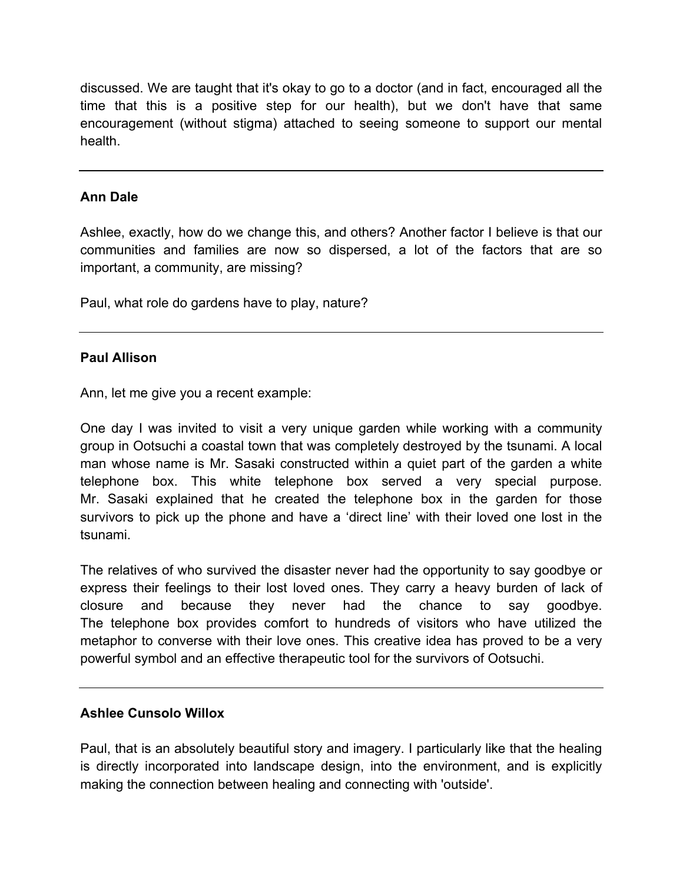discussed. We are taught that it's okay to go to a doctor (and in fact, encouraged all the time that this is a positive step for our health), but we don't have that same encouragement (without stigma) attached to seeing someone to support our mental health.

# **Ann Dale**

Ashlee, exactly, how do we change this, and others? Another factor I believe is that our communities and families are now so dispersed, a lot of the factors that are so important, a community, are missing?

Paul, what role do gardens have to play, nature?

# **Paul Allison**

Ann, let me give you a recent example:

One day I was invited to visit a very unique garden while working with a community group in Ootsuchi a coastal town that was completely destroyed by the tsunami. A local man whose name is Mr. Sasaki constructed within a quiet part of the garden a white telephone box. This white telephone box served a very special purpose. Mr. Sasaki explained that he created the telephone box in the garden for those survivors to pick up the phone and have a 'direct line' with their loved one lost in the tsunami.

The relatives of who survived the disaster never had the opportunity to say goodbye or express their feelings to their lost loved ones. They carry a heavy burden of lack of closure and because they never had the chance to say goodbye. The telephone box provides comfort to hundreds of visitors who have utilized the metaphor to converse with their love ones. This creative idea has proved to be a very powerful symbol and an effective therapeutic tool for the survivors of Ootsuchi.

# **Ashlee Cunsolo Willox**

Paul, that is an absolutely beautiful story and imagery. I particularly like that the healing is directly incorporated into landscape design, into the environment, and is explicitly making the connection between healing and connecting with 'outside'.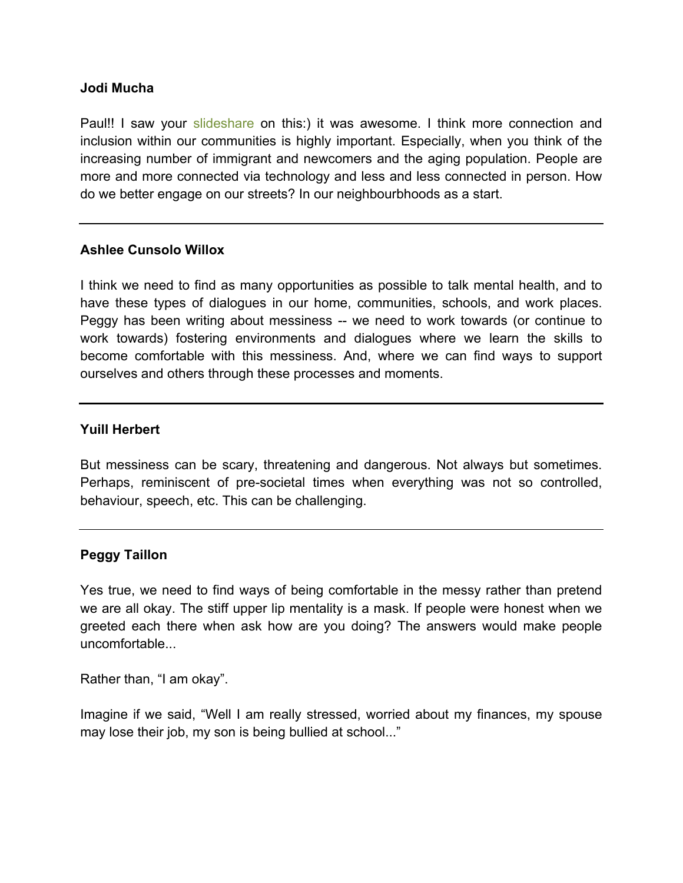#### **Jodi Mucha**

Paul!! I saw your [slideshare](http://www.slideshare.net/PaulAllison2) on this:) it was awesome. I think more connection and inclusion within our communities is highly important. Especially, when you think of the increasing number of immigrant and newcomers and the aging population. People are more and more connected via technology and less and less connected in person. How do we better engage on our streets? In our neighbourbhoods as a start.

# **Ashlee Cunsolo Willox**

I think we need to find as many opportunities as possible to talk mental health, and to have these types of dialogues in our home, communities, schools, and work places. Peggy has been writing about messiness -- we need to work towards (or continue to work towards) fostering environments and dialogues where we learn the skills to become comfortable with this messiness. And, where we can find ways to support ourselves and others through these processes and moments.

#### **Yuill Herbert**

But messiness can be scary, threatening and dangerous. Not always but sometimes. Perhaps, reminiscent of pre-societal times when everything was not so controlled, behaviour, speech, etc. This can be challenging.

# **Peggy Taillon**

Yes true, we need to find ways of being comfortable in the messy rather than pretend we are all okay. The stiff upper lip mentality is a mask. If people were honest when we greeted each there when ask how are you doing? The answers would make people uncomfortable...

Rather than, "I am okay".

Imagine if we said, "Well I am really stressed, worried about my finances, my spouse may lose their job, my son is being bullied at school..."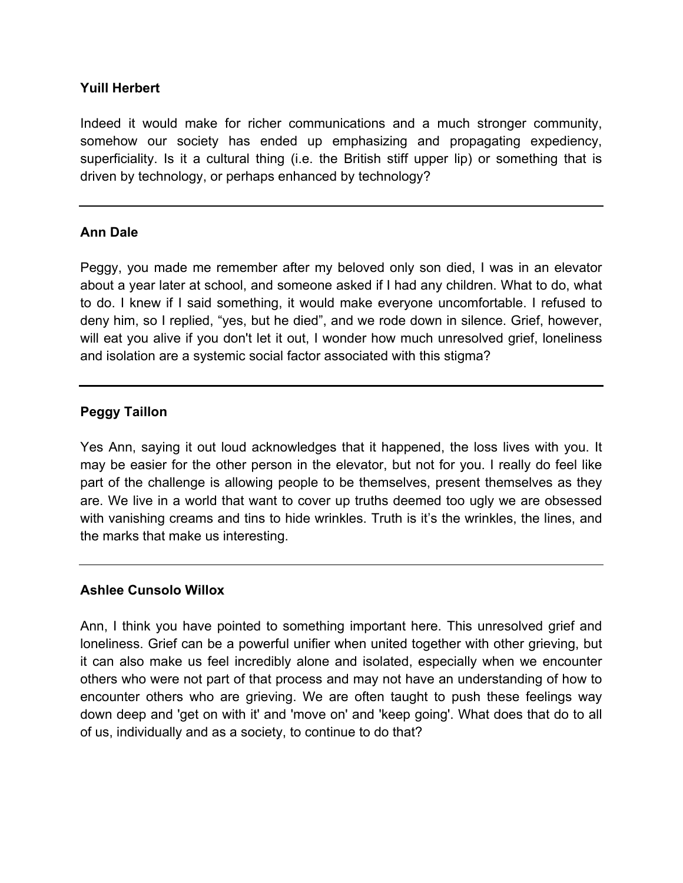# **Yuill Herbert**

Indeed it would make for richer communications and a much stronger community, somehow our society has ended up emphasizing and propagating expediency, superficiality. Is it a cultural thing (i.e. the British stiff upper lip) or something that is driven by technology, or perhaps enhanced by technology?

# **Ann Dale**

Peggy, you made me remember after my beloved only son died, I was in an elevator about a year later at school, and someone asked if I had any children. What to do, what to do. I knew if I said something, it would make everyone uncomfortable. I refused to deny him, so I replied, "yes, but he died", and we rode down in silence. Grief, however, will eat you alive if you don't let it out, I wonder how much unresolved grief, loneliness and isolation are a systemic social factor associated with this stigma?

# **Peggy Taillon**

Yes Ann, saying it out loud acknowledges that it happened, the loss lives with you. It may be easier for the other person in the elevator, but not for you. I really do feel like part of the challenge is allowing people to be themselves, present themselves as they are. We live in a world that want to cover up truths deemed too ugly we are obsessed with vanishing creams and tins to hide wrinkles. Truth is it's the wrinkles, the lines, and the marks that make us interesting.

# **Ashlee Cunsolo Willox**

Ann, I think you have pointed to something important here. This unresolved grief and loneliness. Grief can be a powerful unifier when united together with other grieving, but it can also make us feel incredibly alone and isolated, especially when we encounter others who were not part of that process and may not have an understanding of how to encounter others who are grieving. We are often taught to push these feelings way down deep and 'get on with it' and 'move on' and 'keep going'. What does that do to all of us, individually and as a society, to continue to do that?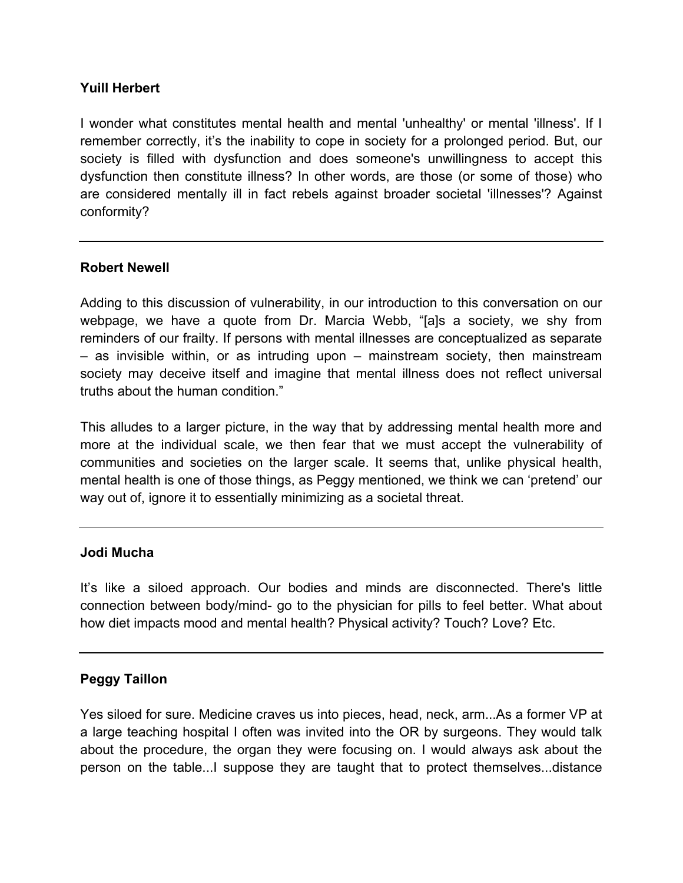# **Yuill Herbert**

I wonder what constitutes mental health and mental 'unhealthy' or mental 'illness'. If I remember correctly, it's the inability to cope in society for a prolonged period. But, our society is filled with dysfunction and does someone's unwillingness to accept this dysfunction then constitute illness? In other words, are those (or some of those) who are considered mentally ill in fact rebels against broader societal 'illnesses'? Against conformity?

# **Robert Newell**

Adding to this discussion of vulnerability, in our introduction to this conversation on our webpage, we have a quote from Dr. Marcia Webb, "[a]s a society, we shy from reminders of our frailty. If persons with mental illnesses are conceptualized as separate – as invisible within, or as intruding upon – mainstream society, then mainstream society may deceive itself and imagine that mental illness does not reflect universal truths about the human condition."

This alludes to a larger picture, in the way that by addressing mental health more and more at the individual scale, we then fear that we must accept the vulnerability of communities and societies on the larger scale. It seems that, unlike physical health, mental health is one of those things, as Peggy mentioned, we think we can 'pretend' our way out of, ignore it to essentially minimizing as a societal threat.

# **Jodi Mucha**

It's like a siloed approach. Our bodies and minds are disconnected. There's little connection between body/mind- go to the physician for pills to feel better. What about how diet impacts mood and mental health? Physical activity? Touch? Love? Etc.

# **Peggy Taillon**

Yes siloed for sure. Medicine craves us into pieces, head, neck, arm...As a former VP at a large teaching hospital I often was invited into the OR by surgeons. They would talk about the procedure, the organ they were focusing on. I would always ask about the person on the table...I suppose they are taught that to protect themselves...distance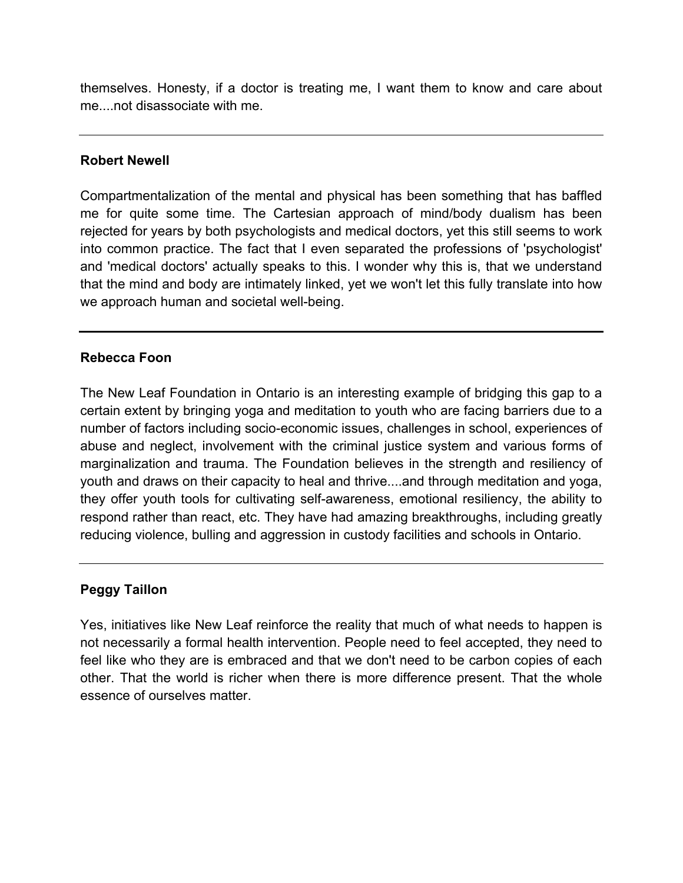themselves. Honesty, if a doctor is treating me, I want them to know and care about me....not disassociate with me.

# **Robert Newell**

Compartmentalization of the mental and physical has been something that has baffled me for quite some time. The Cartesian approach of mind/body dualism has been rejected for years by both psychologists and medical doctors, yet this still seems to work into common practice. The fact that I even separated the professions of 'psychologist' and 'medical doctors' actually speaks to this. I wonder why this is, that we understand that the mind and body are intimately linked, yet we won't let this fully translate into how we approach human and societal well-being.

# **Rebecca Foon**

The New Leaf Foundation in Ontario is an interesting example of bridging this gap to a certain extent by bringing yoga and meditation to youth who are facing barriers due to a number of factors including socio-economic issues, challenges in school, experiences of abuse and neglect, involvement with the criminal justice system and various forms of marginalization and trauma. The Foundation believes in the strength and resiliency of youth and draws on their capacity to heal and thrive....and through meditation and yoga, they offer youth tools for cultivating self-awareness, emotional resiliency, the ability to respond rather than react, etc. They have had amazing breakthroughs, including greatly reducing violence, bulling and aggression in custody facilities and schools in Ontario.

# **Peggy Taillon**

Yes, initiatives like New Leaf reinforce the reality that much of what needs to happen is not necessarily a formal health intervention. People need to feel accepted, they need to feel like who they are is embraced and that we don't need to be carbon copies of each other. That the world is richer when there is more difference present. That the whole essence of ourselves matter.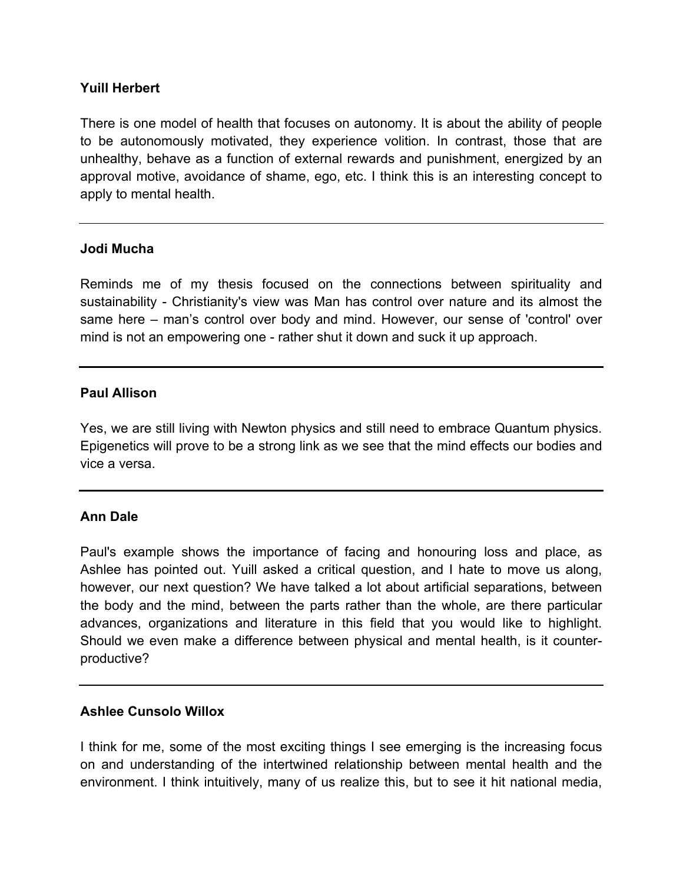# **Yuill Herbert**

There is one model of health that focuses on autonomy. It is about the ability of people to be autonomously motivated, they experience volition. In contrast, those that are unhealthy, behave as a function of external rewards and punishment, energized by an approval motive, avoidance of shame, ego, etc. I think this is an interesting concept to apply to mental health.

# **Jodi Mucha**

Reminds me of my thesis focused on the connections between spirituality and sustainability - Christianity's view was Man has control over nature and its almost the same here – man's control over body and mind. However, our sense of 'control' over mind is not an empowering one - rather shut it down and suck it up approach.

# **Paul Allison**

Yes, we are still living with Newton physics and still need to embrace Quantum physics. Epigenetics will prove to be a strong link as we see that the mind effects our bodies and vice a versa.

# **Ann Dale**

Paul's example shows the importance of facing and honouring loss and place, as Ashlee has pointed out. Yuill asked a critical question, and I hate to move us along, however, our next question? We have talked a lot about artificial separations, between the body and the mind, between the parts rather than the whole, are there particular advances, organizations and literature in this field that you would like to highlight. Should we even make a difference between physical and mental health, is it counterproductive?

# **Ashlee Cunsolo Willox**

I think for me, some of the most exciting things I see emerging is the increasing focus on and understanding of the intertwined relationship between mental health and the environment. I think intuitively, many of us realize this, but to see it hit national media,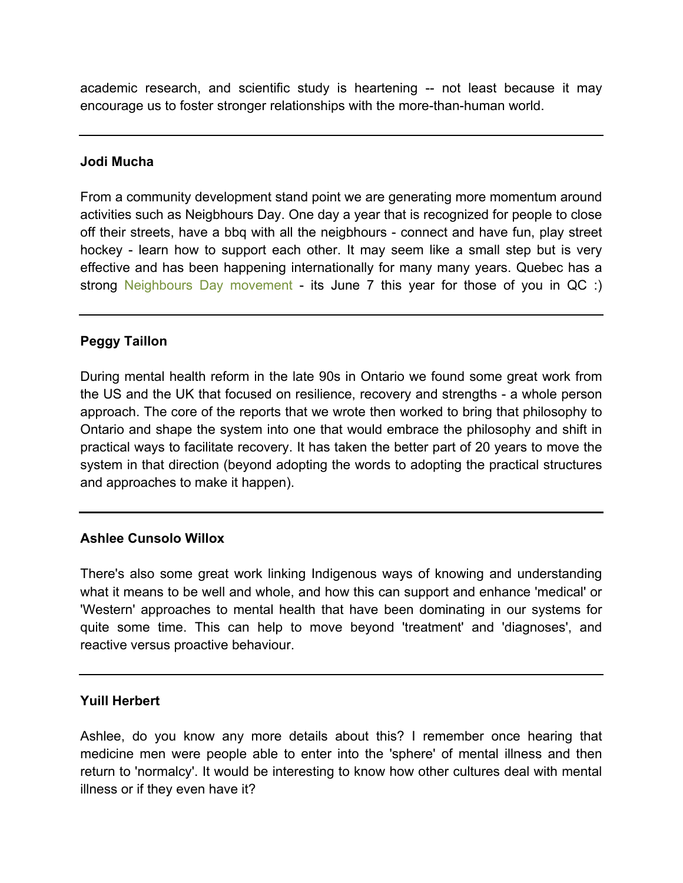academic research, and scientific study is heartening -- not least because it may encourage us to foster stronger relationships with the more-than-human world.

#### **Jodi Mucha**

From a community development stand point we are generating more momentum around activities such as Neigbhours Day. One day a year that is recognized for people to close off their streets, have a bbq with all the neigbhours - connect and have fun, play street hockey - learn how to support each other. It may seem like a small step but is very effective and has been happening internationally for many many years. Quebec has a strong [Neighbours Day movement](http://www.fetedesvoisins.qc.ca/home.html) - its June 7 this year for those of you in QC :)

# **Peggy Taillon**

During mental health reform in the late 90s in Ontario we found some great work from the US and the UK that focused on resilience, recovery and strengths - a whole person approach. The core of the reports that we wrote then worked to bring that philosophy to Ontario and shape the system into one that would embrace the philosophy and shift in practical ways to facilitate recovery. It has taken the better part of 20 years to move the system in that direction (beyond adopting the words to adopting the practical structures and approaches to make it happen).

# **Ashlee Cunsolo Willox**

There's also some great work linking Indigenous ways of knowing and understanding what it means to be well and whole, and how this can support and enhance 'medical' or 'Western' approaches to mental health that have been dominating in our systems for quite some time. This can help to move beyond 'treatment' and 'diagnoses', and reactive versus proactive behaviour.

# **Yuill Herbert**

Ashlee, do you know any more details about this? I remember once hearing that medicine men were people able to enter into the 'sphere' of mental illness and then return to 'normalcy'. It would be interesting to know how other cultures deal with mental illness or if they even have it?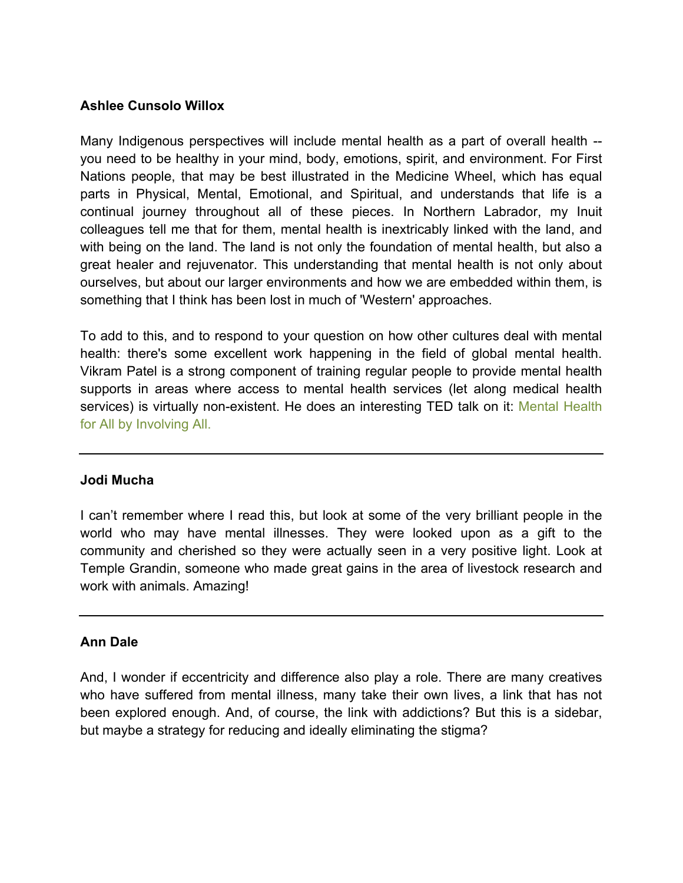# **Ashlee Cunsolo Willox**

Many Indigenous perspectives will include mental health as a part of overall health - you need to be healthy in your mind, body, emotions, spirit, and environment. For First Nations people, that may be best illustrated in the Medicine Wheel, which has equal parts in Physical, Mental, Emotional, and Spiritual, and understands that life is a continual journey throughout all of these pieces. In Northern Labrador, my Inuit colleagues tell me that for them, mental health is inextricably linked with the land, and with being on the land. The land is not only the foundation of mental health, but also a great healer and rejuvenator. This understanding that mental health is not only about ourselves, but about our larger environments and how we are embedded within them, is something that I think has been lost in much of 'Western' approaches.

To add to this, and to respond to your question on how other cultures deal with mental health: there's some excellent work happening in the field of global mental health. Vikram Patel is a strong component of training regular people to provide mental health supports in areas where access to mental health services (let along medical health services) is virtually non-existent. He does an interesting TED talk on it: [Mental Health](http://www.ted.com/talks/vikram_patel_mental_health_for_all_by_involving_all) [for All by Involving All.](http://www.ted.com/talks/vikram_patel_mental_health_for_all_by_involving_all)

# **Jodi Mucha**

I can't remember where I read this, but look at some of the very brilliant people in the world who may have mental illnesses. They were looked upon as a gift to the community and cherished so they were actually seen in a very positive light. Look at Temple Grandin, someone who made great gains in the area of livestock research and work with animals. Amazing!

# **Ann Dale**

And, I wonder if eccentricity and difference also play a role. There are many creatives who have suffered from mental illness, many take their own lives, a link that has not been explored enough. And, of course, the link with addictions? But this is a sidebar, but maybe a strategy for reducing and ideally eliminating the stigma?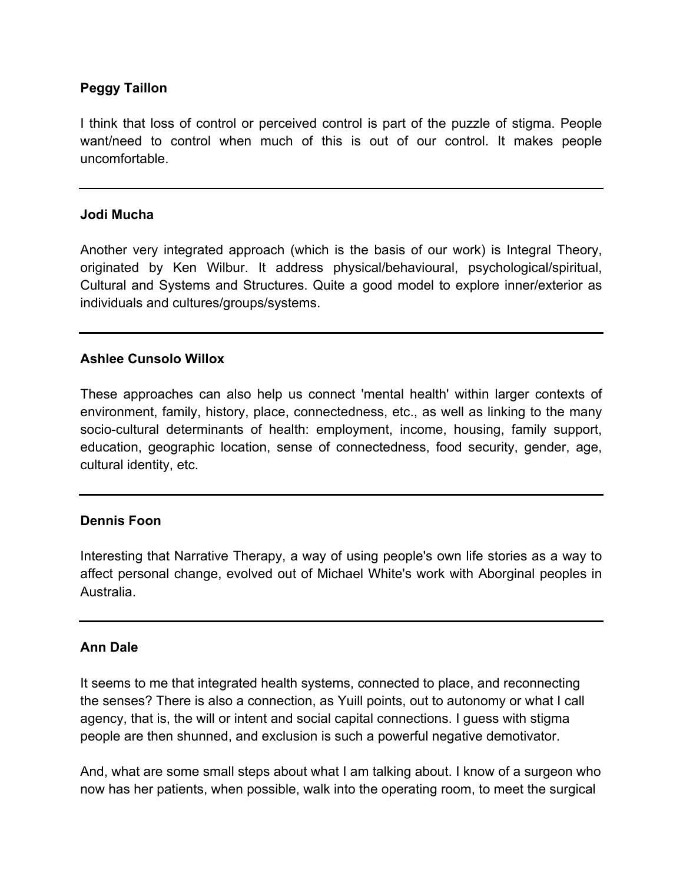# **Peggy Taillon**

I think that loss of control or perceived control is part of the puzzle of stigma. People want/need to control when much of this is out of our control. It makes people uncomfortable.

#### **Jodi Mucha**

Another very integrated approach (which is the basis of our work) is Integral Theory, originated by Ken Wilbur. It address physical/behavioural, psychological/spiritual, Cultural and Systems and Structures. Quite a good model to explore inner/exterior as individuals and cultures/groups/systems.

# **Ashlee Cunsolo Willox**

These approaches can also help us connect 'mental health' within larger contexts of environment, family, history, place, connectedness, etc., as well as linking to the many socio-cultural determinants of health: employment, income, housing, family support, education, geographic location, sense of connectedness, food security, gender, age, cultural identity, etc.

# **Dennis Foon**

Interesting that Narrative Therapy, a way of using people's own life stories as a way to affect personal change, evolved out of Michael White's work with Aborginal peoples in Australia.

# **Ann Dale**

It seems to me that integrated health systems, connected to place, and reconnecting the senses? There is also a connection, as Yuill points, out to autonomy or what I call agency, that is, the will or intent and social capital connections. I guess with stigma people are then shunned, and exclusion is such a powerful negative demotivator.

And, what are some small steps about what I am talking about. I know of a surgeon who now has her patients, when possible, walk into the operating room, to meet the surgical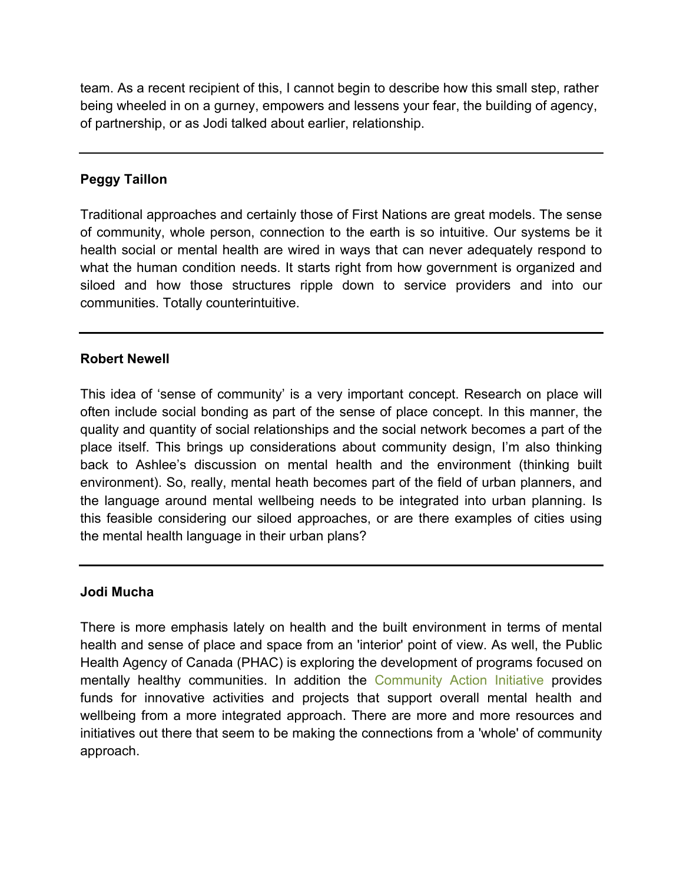team. As a recent recipient of this, I cannot begin to describe how this small step, rather being wheeled in on a gurney, empowers and lessens your fear, the building of agency, of partnership, or as Jodi talked about earlier, relationship.

# **Peggy Taillon**

Traditional approaches and certainly those of First Nations are great models. The sense of community, whole person, connection to the earth is so intuitive. Our systems be it health social or mental health are wired in ways that can never adequately respond to what the human condition needs. It starts right from how government is organized and siloed and how those structures ripple down to service providers and into our communities. Totally counterintuitive.

# **Robert Newell**

This idea of 'sense of community' is a very important concept. Research on place will often include social bonding as part of the sense of place concept. In this manner, the quality and quantity of social relationships and the social network becomes a part of the place itself. This brings up considerations about community design, I'm also thinking back to Ashlee's discussion on mental health and the environment (thinking built environment). So, really, mental heath becomes part of the field of urban planners, and the language around mental wellbeing needs to be integrated into urban planning. Is this feasible considering our siloed approaches, or are there examples of cities using the mental health language in their urban plans?

# **Jodi Mucha**

There is more emphasis lately on health and the built environment in terms of mental health and sense of place and space from an 'interior' point of view. As well, the Public Health Agency of Canada (PHAC) is exploring the development of programs focused on mentally healthy communities. In addition the [Community Action Initiative](http://www.communityactioninitiative.ca/) provides funds for innovative activities and projects that support overall mental health and wellbeing from a more integrated approach. There are more and more resources and initiatives out there that seem to be making the connections from a 'whole' of community approach.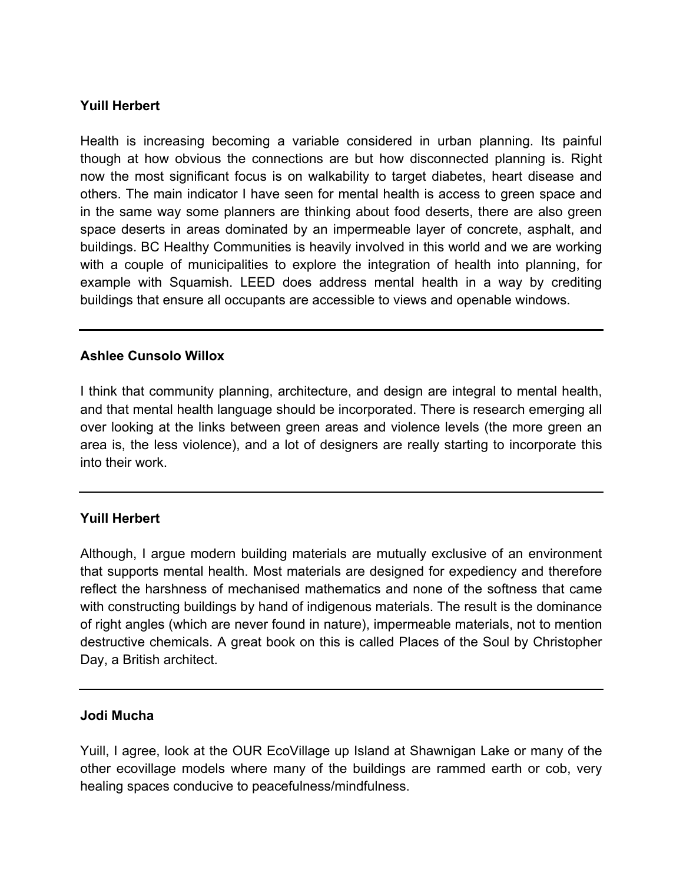# **Yuill Herbert**

Health is increasing becoming a variable considered in urban planning. Its painful though at how obvious the connections are but how disconnected planning is. Right now the most significant focus is on walkability to target diabetes, heart disease and others. The main indicator I have seen for mental health is access to green space and in the same way some planners are thinking about food deserts, there are also green space deserts in areas dominated by an impermeable layer of concrete, asphalt, and buildings. BC Healthy Communities is heavily involved in this world and we are working with a couple of municipalities to explore the integration of health into planning, for example with Squamish. LEED does address mental health in a way by crediting buildings that ensure all occupants are accessible to views and openable windows.

# **Ashlee Cunsolo Willox**

I think that community planning, architecture, and design are integral to mental health, and that mental health language should be incorporated. There is research emerging all over looking at the links between green areas and violence levels (the more green an area is, the less violence), and a lot of designers are really starting to incorporate this into their work.

# **Yuill Herbert**

Although, I argue modern building materials are mutually exclusive of an environment that supports mental health. Most materials are designed for expediency and therefore reflect the harshness of mechanised mathematics and none of the softness that came with constructing buildings by hand of indigenous materials. The result is the dominance of right angles (which are never found in nature), impermeable materials, not to mention destructive chemicals. A great book on this is called Places of the Soul by Christopher Day, a British architect.

#### **Jodi Mucha**

Yuill, I agree, look at the [OUR EcoVillage](http://ourecovillage.org/) up Island at Shawnigan Lake or many of the other ecovillage models where many of the buildings are rammed earth or cob, very healing spaces conducive to peacefulness/mindfulness.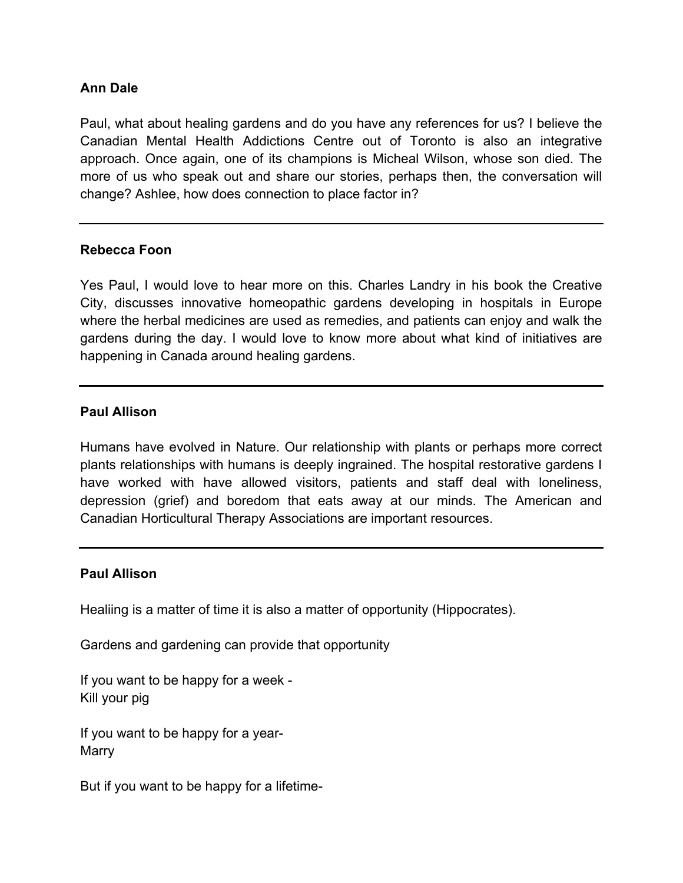# **Ann Dale**

Paul, what about healing gardens and do you have any references for us? I believe the Canadian Mental Health Addictions Centre out of Toronto is also an integrative approach. Once again, one of its champions is Micheal Wilson, whose son died. The more of us who speak out and share our stories, perhaps then, the conversation will change? Ashlee, how does connection to place factor in?

#### **Rebecca Foon**

Yes Paul, I would love to hear more on this. Charles Landry in his book the Creative City, discusses innovative homeopathic gardens developing in hospitals in Europe where the herbal medicines are used as remedies, and patients can enjoy and walk the gardens during the day. I would love to know more about what kind of initiatives are happening in Canada around healing gardens.

# **Paul Allison**

Humans have evolved in Nature. Our relationship with plants or perhaps more correct plants relationships with humans is deeply ingrained. The hospital restorative gardens I have worked with have allowed visitors, patients and staff deal with loneliness, depression (grief) and boredom that eats away at our minds. The American and Canadian Horticultural Therapy Associations are important resources.

# **Paul Allison**

Healiing is a matter of time it is also a matter of opportunity (Hippocrates).

Gardens and gardening can provide that opportunity

If you want to be happy for a week - Kill your pig

If you want to be happy for a year-Marry

But if you want to be happy for a lifetime-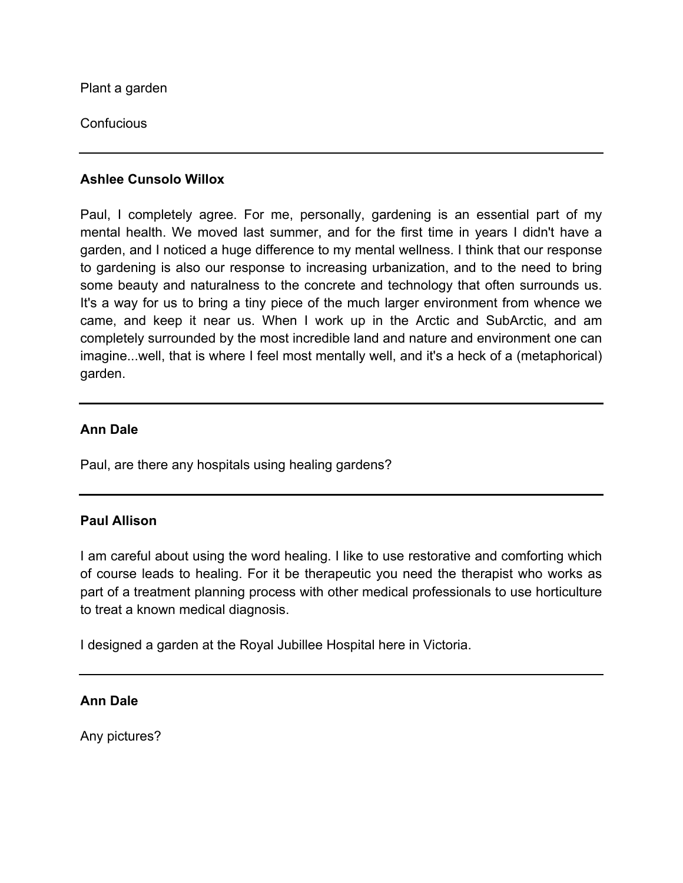Plant a garden

**Confucious** 

# **Ashlee Cunsolo Willox**

Paul, I completely agree. For me, personally, gardening is an essential part of my mental health. We moved last summer, and for the first time in years I didn't have a garden, and I noticed a huge difference to my mental wellness. I think that our response to gardening is also our response to increasing urbanization, and to the need to bring some beauty and naturalness to the concrete and technology that often surrounds us. It's a way for us to bring a tiny piece of the much larger environment from whence we came, and keep it near us. When I work up in the Arctic and SubArctic, and am completely surrounded by the most incredible land and nature and environment one can imagine...well, that is where I feel most mentally well, and it's a heck of a (metaphorical) garden.

# **Ann Dale**

Paul, are there any hospitals using healing gardens?

# **Paul Allison**

I am careful about using the word healing. I like to use restorative and comforting which of course leads to healing. For it be therapeutic you need the therapist who works as part of a treatment planning process with other medical professionals to use horticulture to treat a known medical diagnosis.

I designed a garden at the Royal Jubillee Hospital here in Victoria.

# **Ann Dale**

Any pictures?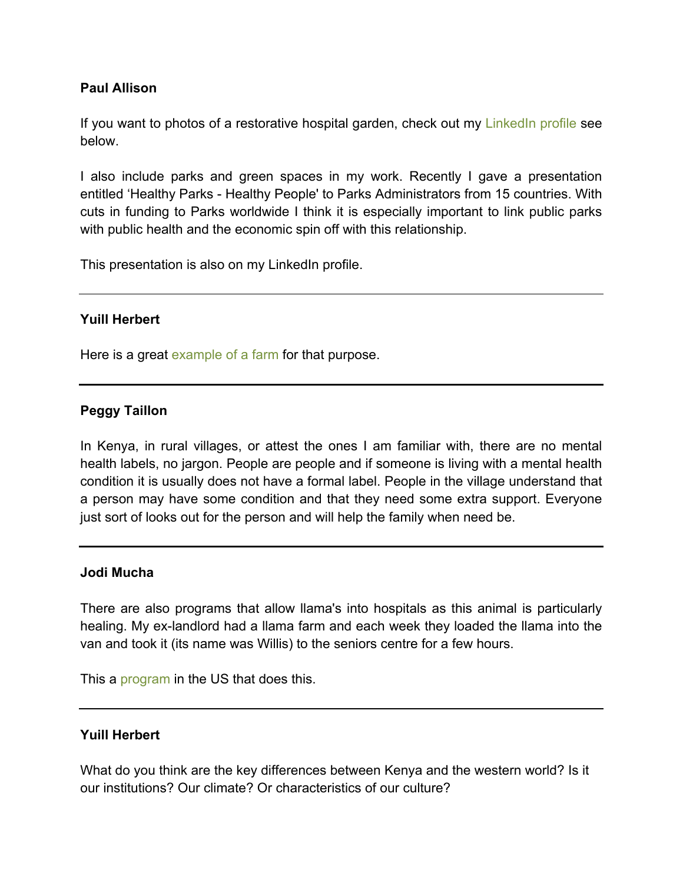# **Paul Allison**

If you want to photos of a restorative hospital garden, check out my [LinkedIn profile](http://ca.linkedin.com/pub/paul-allison/53/9b7/a08) see below.

I also include parks and green spaces in my work. Recently I gave a presentation entitled 'Healthy Parks - Healthy People' to Parks Administrators from 15 countries. With cuts in funding to Parks worldwide I think it is especially important to link public parks with public health and the economic spin off with this relationship.

This presentation is also on my LinkedIn profile.

# **Yuill Herbert**

Here is a great [example of a farm](http://openskycoop12.wordpress.com/) for that purpose.

# **Peggy Taillon**

In Kenya, in rural villages, or attest the ones I am familiar with, there are no mental health labels, no jargon. People are people and if someone is living with a mental health condition it is usually does not have a formal label. People in the village understand that a person may have some condition and that they need some extra support. Everyone just sort of looks out for the person and will help the family when need be.

# **Jodi Mucha**

There are also programs that allow llama's into hospitals as this animal is particularly healing. My ex-landlord had a llama farm and each week they loaded the llama into the van and took it (its name was Willis) to the seniors centre for a few hours.

This a [program](http://www.colorsmagazine.com/stories/magazine/83/story/beat-your-intimacy-issues) in the US that does this.

# **Yuill Herbert**

What do you think are the key differences between Kenya and the western world? Is it our institutions? Our climate? Or characteristics of our culture?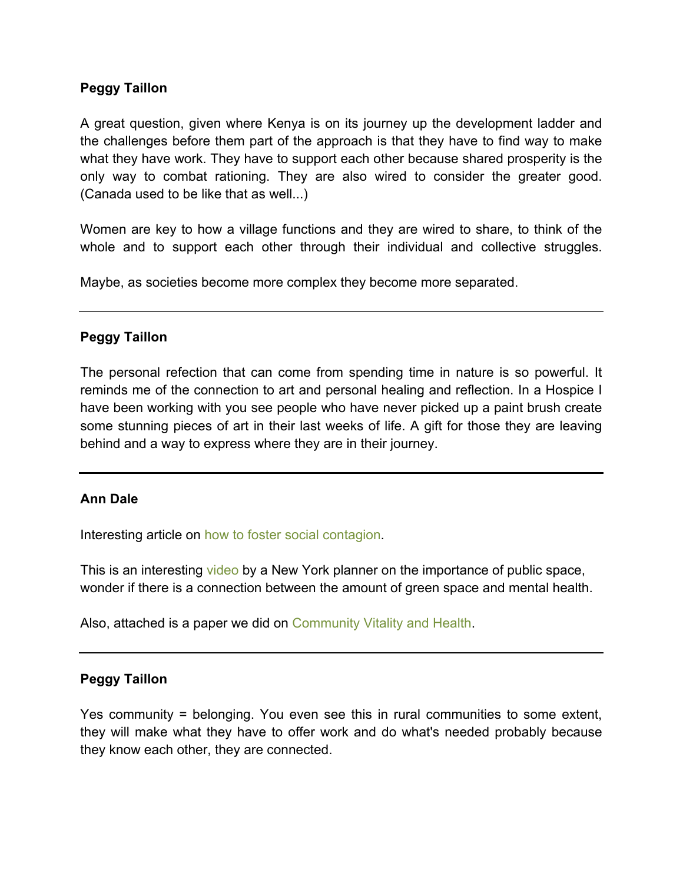# **Peggy Taillon**

A great question, given where Kenya is on its journey up the development ladder and the challenges before them part of the approach is that they have to find way to make what they have work. They have to support each other because shared prosperity is the only way to combat rationing. They are also wired to consider the greater good. (Canada used to be like that as well...)

Women are key to how a village functions and they are wired to share, to think of the whole and to support each other through their individual and collective struggles.

Maybe, as societies become more complex they become more separated.

# **Peggy Taillon**

The personal refection that can come from spending time in nature is so powerful. It reminds me of the connection to art and personal healing and reflection. In a Hospice I have been working with you see people who have never picked up a paint brush create some stunning pieces of art in their last weeks of life. A gift for those they are leaving behind and a way to express where they are in their journey.

# **Ann Dale**

Interesting article on [how to foster social contagion.](http://www.ncbi.nlm.nih.gov/pmc/articles/PMC3937890/)

This is an interesting [video](http://www.ted.com/talks/amanda_burden_how_public_spaces_make_cities_work?utm_source=newsletter_weekly_2014-04-12&utm_campaign=newsletter_weekly&utm_medium=email&utm_content=bottom_right_buttonI) by a New York planner on the importance of public space, wonder if there is a connection between the amount of green space and mental health.

Also, attached is a paper we did on [Community Vitality and Health.](http://crcresearch.org/sites/default/files/u641/vitality_-_health.pdf)

# **Peggy Taillon**

Yes community = belonging. You even see this in rural communities to some extent, they will make what they have to offer work and do what's needed probably because they know each other, they are connected.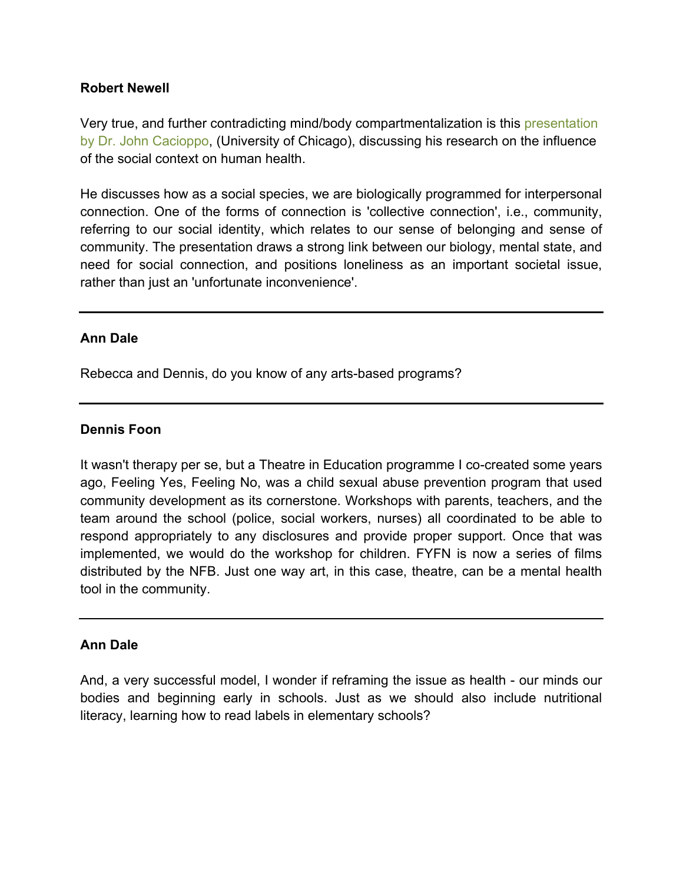# **Robert Newell**

Very true, and further contradicting mind/body compartmentalization is this [presentation](http://news.uchicago.edu/multimedia/loneliness-human-nature-and-need-social-connection) [by Dr. John Cacioppo,](http://news.uchicago.edu/multimedia/loneliness-human-nature-and-need-social-connection) (University of Chicago), discussing his research on the influence of the social context on human health.

He discusses how as a social species, we are biologically programmed for interpersonal connection. One of the forms of connection is 'collective connection', i.e., community, referring to our social identity, which relates to our sense of belonging and sense of community. The presentation draws a strong link between our biology, mental state, and need for social connection, and positions loneliness as an important societal issue, rather than just an 'unfortunate inconvenience'.

# **Ann Dale**

Rebecca and Dennis, do you know of any arts-based programs?

# **Dennis Foon**

It wasn't therapy per se, but a Theatre in Education programme I co-created some years ago, Feeling Yes, Feeling No, was a child sexual abuse prevention program that used community development as its cornerstone. Workshops with parents, teachers, and the team around the school (police, social workers, nurses) all coordinated to be able to respond appropriately to any disclosures and provide proper support. Once that was implemented, we would do the workshop for children. FYFN is now a series of films distributed by the NFB. Just one way art, in this case, theatre, can be a mental health tool in the community.

# **Ann Dale**

And, a very successful model, I wonder if reframing the issue as health - our minds our bodies and beginning early in schools. Just as we should also include nutritional literacy, learning how to read labels in elementary schools?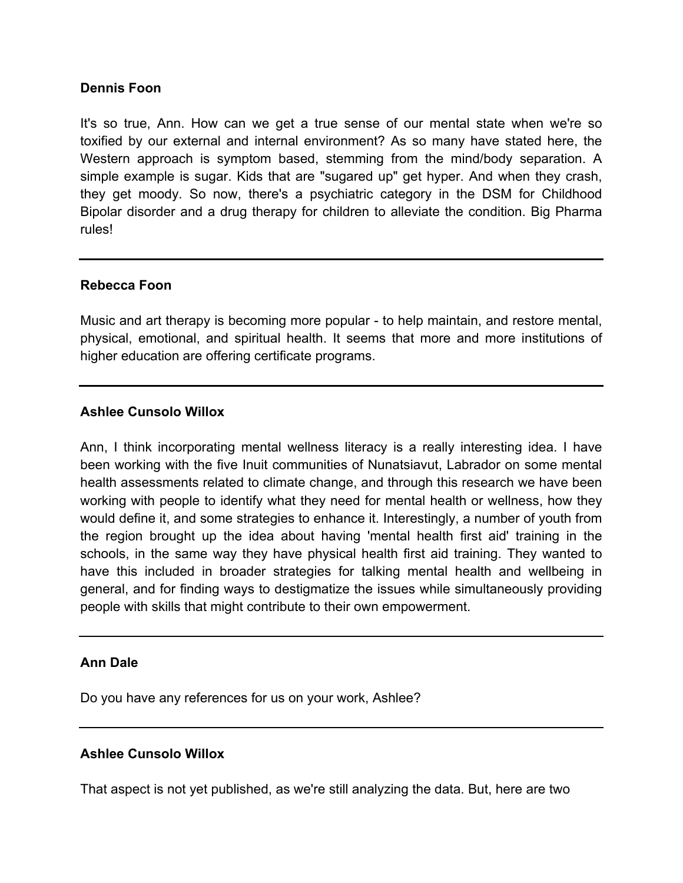# **Dennis Foon**

It's so true, Ann. How can we get a true sense of our mental state when we're so toxified by our external and internal environment? As so many have stated here, the Western approach is symptom based, stemming from the mind/body separation. A simple example is sugar. Kids that are "sugared up" get hyper. And when they crash, they get moody. So now, there's a psychiatric category in the DSM for Childhood Bipolar disorder and a drug therapy for children to alleviate the condition. Big Pharma rules!

# **Rebecca Foon**

Music and art therapy is becoming more popular - to help maintain, and restore mental, physical, emotional, and spiritual health. It seems that more and more institutions of higher education are offering certificate programs.

# **Ashlee Cunsolo Willox**

Ann, I think incorporating mental wellness literacy is a really interesting idea. I have been working with the five Inuit communities of Nunatsiavut, Labrador on some mental health assessments related to climate change, and through this research we have been working with people to identify what they need for mental health or wellness, how they would define it, and some strategies to enhance it. Interestingly, a number of youth from the region brought up the idea about having 'mental health first aid' training in the schools, in the same way they have physical health first aid training. They wanted to have this included in broader strategies for talking mental health and wellbeing in general, and for finding ways to destigmatize the issues while simultaneously providing people with skills that might contribute to their own empowerment.

# **Ann Dale**

Do you have any references for us on your work, Ashlee?

# **Ashlee Cunsolo Willox**

That aspect is not yet published, as we're still analyzing the data. But, here are two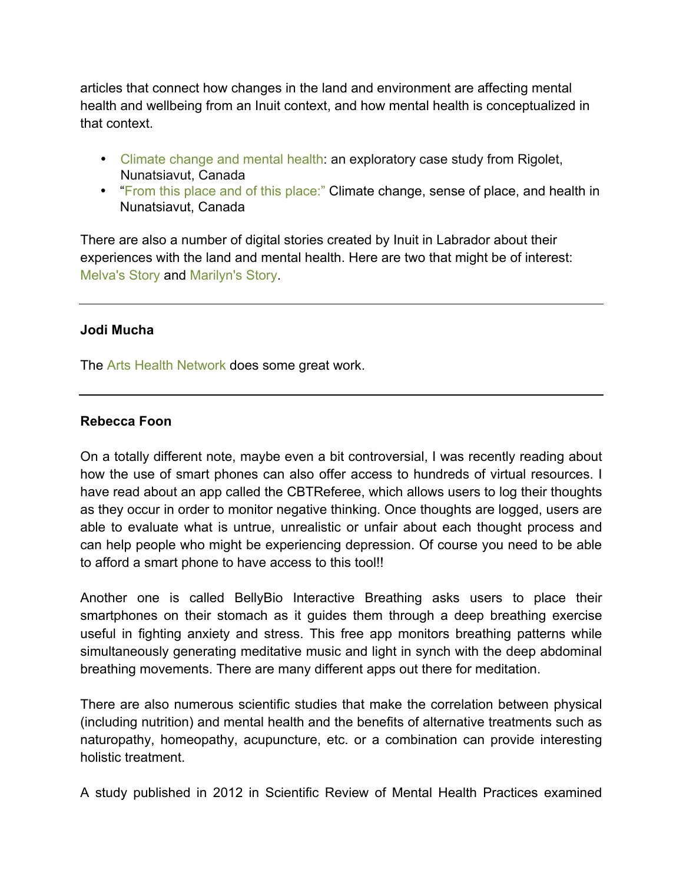articles that connect how changes in the land and environment are affecting mental health and wellbeing from an Inuit context, and how mental health is conceptualized in that context.

- [Climate change and mental health:](http://link.springer.com/article/10.1007%2Fs10584-013-0875-4#page-1) an exploratory case study from Rigolet, Nunatsiavut, Canada
- ["From this place and of this place:"](http://www.sciencedirect.com/science/article/pii/S0277953612003255) Climate change, sense of place, and health in Nunatsiavut, Canada

There are also a number of digital stories created by Inuit in Labrador about their experiences with the land and mental health. Here are two that might be of interest: [Melva's Story](https://www.youtube.com/watch?v=9e_FZj9-Mss) and [Marilyn's Story.](https://www.youtube.com/watch?v=dsvYQ-Fyp78)

# **Jodi Mucha**

The [Arts Health Network](http://artshealthnetwork.ca/) does some great work.

# **Rebecca Foon**

On a totally different note, maybe even a bit controversial, I was recently reading about how the use of smart phones can also offer access to hundreds of virtual resources. I have read about an app called the CBTReferee, which allows users to log their thoughts as they occur in order to monitor negative thinking. Once thoughts are logged, users are able to evaluate what is untrue, unrealistic or unfair about each thought process and can help people who might be experiencing depression. Of course you need to be able to afford a smart phone to have access to this tool!!

Another one is called BellyBio Interactive Breathing asks users to place their smartphones on their stomach as it guides them through a deep breathing exercise useful in fighting anxiety and stress. This free app monitors breathing patterns while simultaneously generating meditative music and light in synch with the deep abdominal breathing movements. There are many different apps out there for meditation.

There are also numerous scientific studies that make the correlation between physical (including nutrition) and mental health and the benefits of alternative treatments such as naturopathy, homeopathy, acupuncture, etc. or a combination can provide interesting holistic treatment.

A study published in 2012 in Scientific Review of Mental Health Practices examined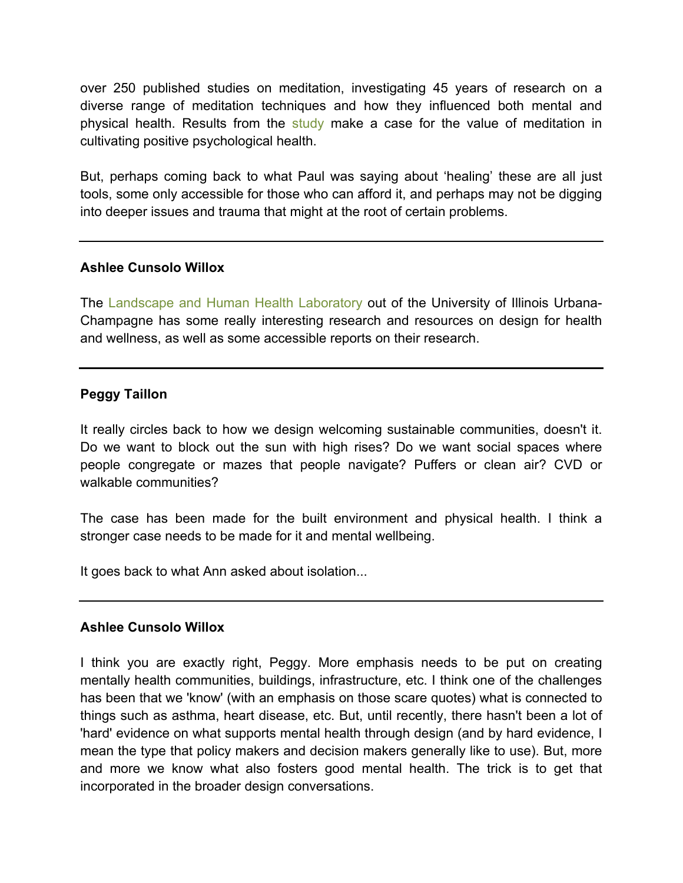over 250 published studies on meditation, investigating 45 years of research on a diverse range of meditation techniques and how they influenced both mental and physical health. Results from the [study](http://connection.ebscohost.com/c/articles/74162167) make a case for the value of meditation in cultivating positive psychological health.

But, perhaps coming back to what Paul was saying about 'healing' these are all just tools, some only accessible for those who can afford it, and perhaps may not be digging into deeper issues and trauma that might at the root of certain problems.

# **Ashlee Cunsolo Willox**

The [Landscape and Human](http://lhhl.illinois.edu/) Health Laboratory out of the University of Illinois Urbana-Champagne has some really interesting research and resources on design for health and wellness, as well as some accessible reports on their research.

# **Peggy Taillon**

It really circles back to how we design welcoming sustainable communities, doesn't it. Do we want to block out the sun with high rises? Do we want social spaces where people congregate or mazes that people navigate? Puffers or clean air? CVD or walkable communities?

The case has been made for the built environment and physical health. I think a stronger case needs to be made for it and mental wellbeing.

It goes back to what Ann asked about isolation...

# **Ashlee Cunsolo Willox**

I think you are exactly right, Peggy. More emphasis needs to be put on creating mentally health communities, buildings, infrastructure, etc. I think one of the challenges has been that we 'know' (with an emphasis on those scare quotes) what is connected to things such as asthma, heart disease, etc. But, until recently, there hasn't been a lot of 'hard' evidence on what supports mental health through design (and by hard evidence, I mean the type that policy makers and decision makers generally like to use). But, more and more we know what also fosters good mental health. The trick is to get that incorporated in the broader design conversations.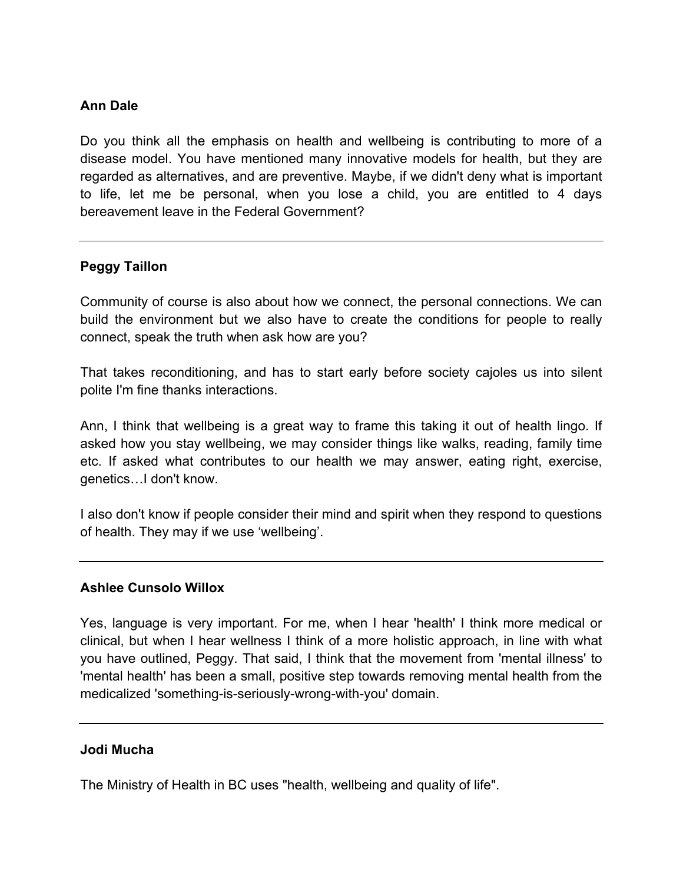# **Ann Dale**

Do you think all the emphasis on health and wellbeing is contributing to more of a disease model. You have mentioned many innovative models for health, but they are regarded as alternatives, and are preventive. Maybe, if we didn't deny what is important to life, let me be personal, when you lose a child, you are entitled to 4 days bereavement leave in the Federal Government?

# **Peggy Taillon**

Community of course is also about how we connect, the personal connections. We can build the environment but we also have to create the conditions for people to really connect, speak the truth when ask how are you?

That takes reconditioning, and has to start early before society cajoles us into silent polite I'm fine thanks interactions.

Ann, I think that wellbeing is a great way to frame this taking it out of health lingo. If asked how you stay wellbeing, we may consider things like walks, reading, family time etc. If asked what contributes to our health we may answer, eating right, exercise, genetics…I don't know.

I also don't know if people consider their mind and spirit when they respond to questions of health. They may if we use 'wellbeing'.

# **Ashlee Cunsolo Willox**

Yes, language is very important. For me, when I hear 'health' I think more medical or clinical, but when I hear wellness I think of a more holistic approach, in line with what you have outlined, Peggy. That said, I think that the movement from 'mental illness' to 'mental health' has been a small, positive step towards removing mental health from the medicalized 'something-is-seriously-wrong-with-you' domain.

# **Jodi Mucha**

The Ministry of Health in BC uses "health, wellbeing and quality of life".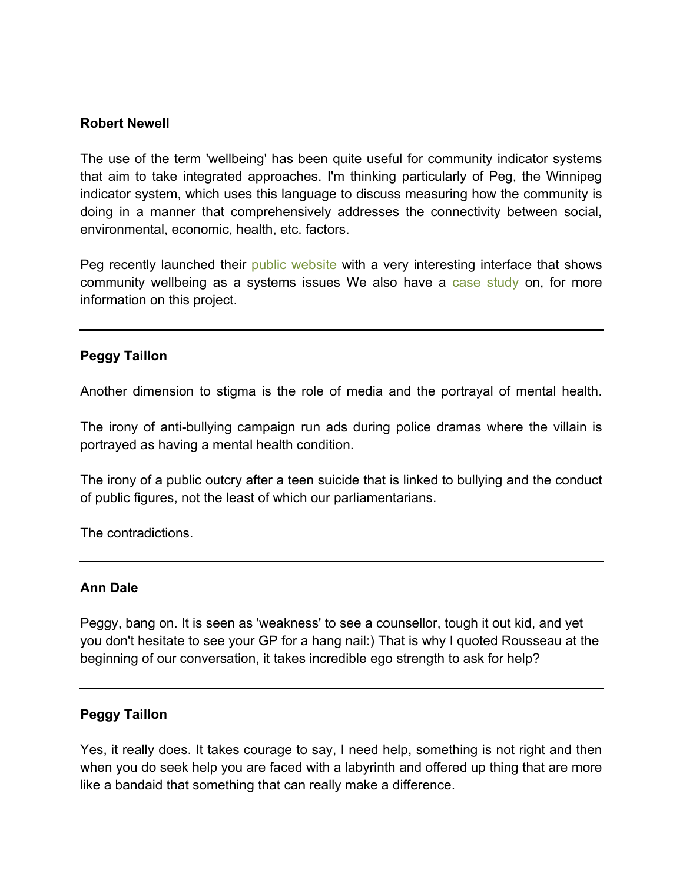# **Robert Newell**

The use of the term 'wellbeing' has been quite useful for community indicator systems that aim to take integrated approaches. I'm thinking particularly of Peg, the Winnipeg indicator system, which uses this language to discuss measuring how the community is doing in a manner that comprehensively addresses the connectivity between social, environmental, economic, health, etc. factors.

Peg recently launched their [public website](http://www.mypeg.ca/) with a very interesting interface that shows community wellbeing as a systems issues We also have a [case study](http://www.crcresearch.org/community-research-connections/crc-case-studies/community-indicators-winnipeg-canada-peg) on, for more information on this project.

# **Peggy Taillon**

Another dimension to stigma is the role of media and the portrayal of mental health.

The irony of anti-bullying campaign run ads during police dramas where the villain is portrayed as having a mental health condition.

The irony of a public outcry after a teen suicide that is linked to bullying and the conduct of public figures, not the least of which our parliamentarians.

The contradictions.

# **Ann Dale**

Peggy, bang on. It is seen as 'weakness' to see a counsellor, tough it out kid, and yet you don't hesitate to see your GP for a hang nail:) That is why I quoted Rousseau at the beginning of our conversation, it takes incredible ego strength to ask for help?

# **Peggy Taillon**

Yes, it really does. It takes courage to say, I need help, something is not right and then when you do seek help you are faced with a labyrinth and offered up thing that are more like a bandaid that something that can really make a difference.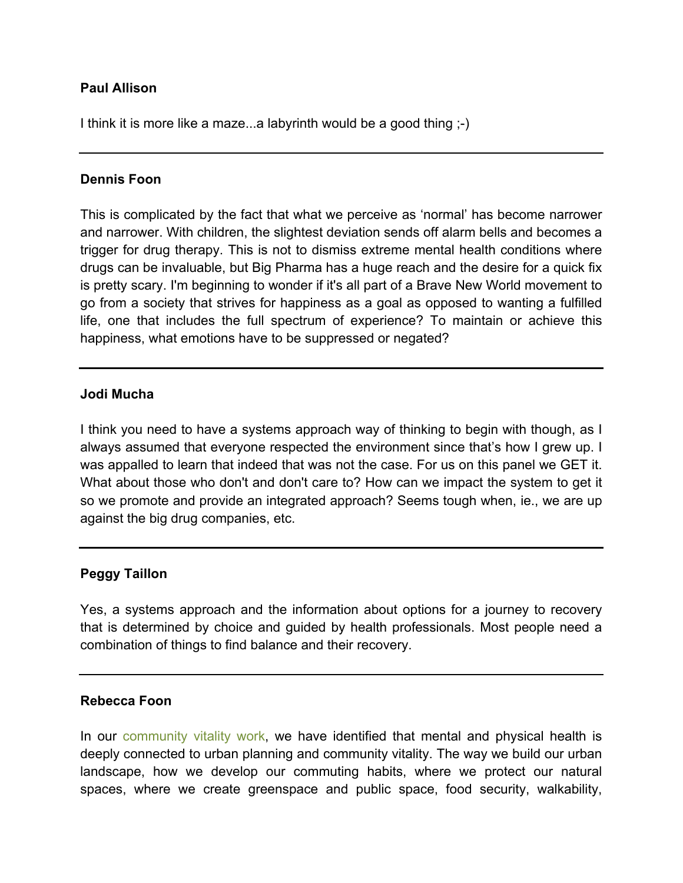# **Paul Allison**

I think it is more like a maze...a labyrinth would be a good thing ;-)

# **Dennis Foon**

This is complicated by the fact that what we perceive as 'normal' has become narrower and narrower. With children, the slightest deviation sends off alarm bells and becomes a trigger for drug therapy. This is not to dismiss extreme mental health conditions where drugs can be invaluable, but Big Pharma has a huge reach and the desire for a quick fix is pretty scary. I'm beginning to wonder if it's all part of a Brave New World movement to go from a society that strives for happiness as a goal as opposed to wanting a fulfilled life, one that includes the full spectrum of experience? To maintain or achieve this happiness, what emotions have to be suppressed or negated?

# **Jodi Mucha**

I think you need to have a systems approach way of thinking to begin with though, as I always assumed that everyone respected the environment since that's how I grew up. I was appalled to learn that indeed that was not the case. For us on this panel we GET it. What about those who don't and don't care to? How can we impact the system to get it so we promote and provide an integrated approach? Seems tough when, ie., we are up against the big drug companies, etc.

# **Peggy Taillon**

Yes, a systems approach and the information about options for a journey to recovery that is determined by choice and guided by health professionals. Most people need a combination of things to find balance and their recovery.

# **Rebecca Foon**

In our [community vitality work,](http://www.crcresearch.org/vitality/vitality) we have identified that mental and physical health is deeply connected to urban planning and community vitality. The way we build our urban landscape, how we develop our commuting habits, where we protect our natural spaces, where we create greenspace and public space, food security, walkability,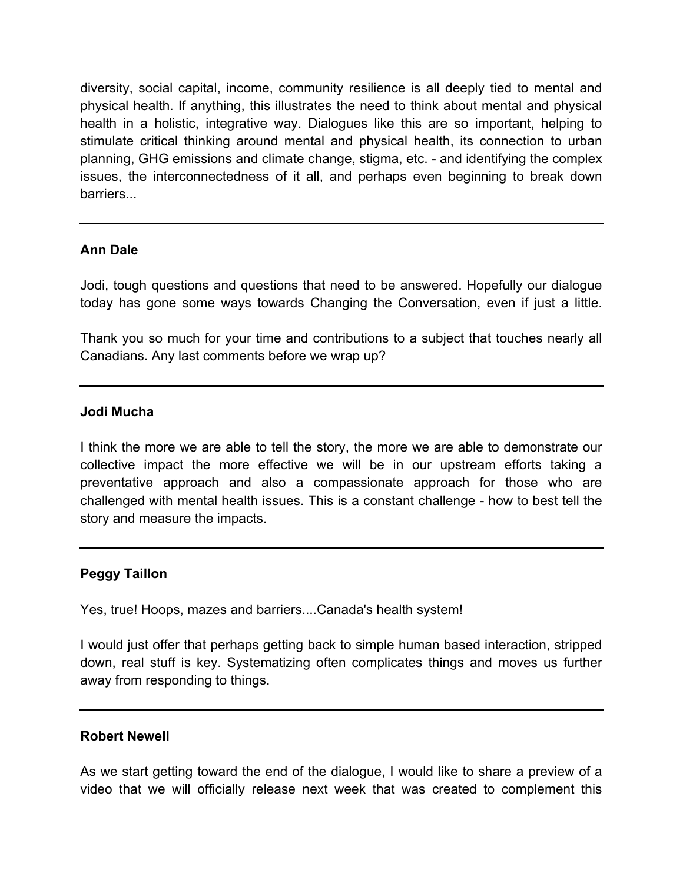diversity, social capital, income, community resilience is all deeply tied to mental and physical health. If anything, this illustrates the need to think about mental and physical health in a holistic, integrative way. Dialogues like this are so important, helping to stimulate critical thinking around mental and physical health, its connection to urban planning, GHG emissions and climate change, stigma, etc. - and identifying the complex issues, the interconnectedness of it all, and perhaps even beginning to break down barriers...

# **Ann Dale**

Jodi, tough questions and questions that need to be answered. Hopefully our dialogue today has gone some ways towards Changing the Conversation, even if just a little.

Thank you so much for your time and contributions to a subject that touches nearly all Canadians. Any last comments before we wrap up?

# **Jodi Mucha**

I think the more we are able to tell the story, the more we are able to demonstrate our collective impact the more effective we will be in our upstream efforts taking a preventative approach and also a compassionate approach for those who are challenged with mental health issues. This is a constant challenge - how to best tell the story and measure the impacts.

# **Peggy Taillon**

Yes, true! Hoops, mazes and barriers....Canada's health system!

I would just offer that perhaps getting back to simple human based interaction, stripped down, real stuff is key. Systematizing often complicates things and moves us further away from responding to things.

# **Robert Newell**

As we start getting toward the end of the dialogue, I would like to share a preview of a video that we will officially release next week that was created to complement this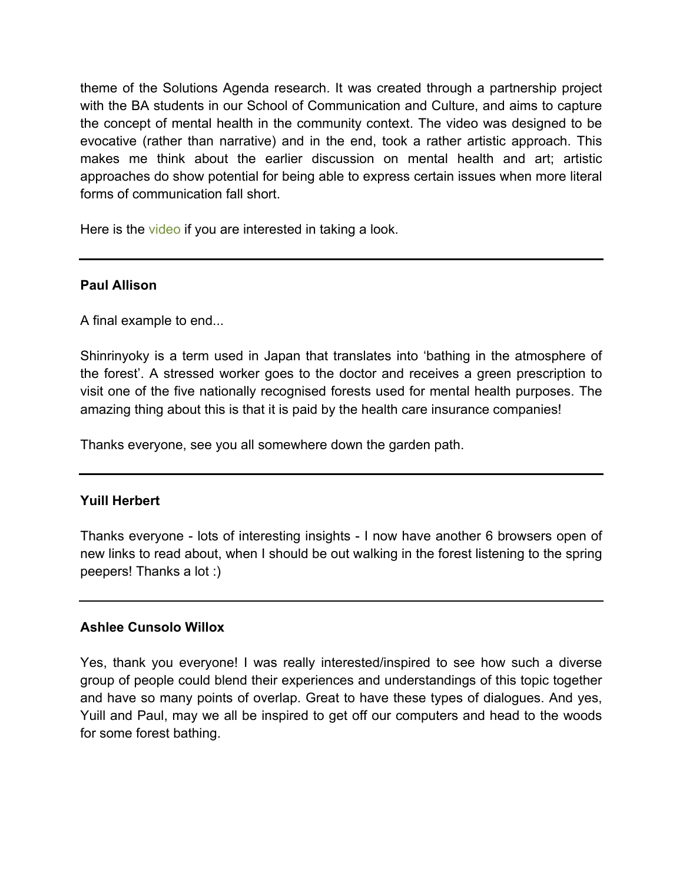theme of the Solutions Agenda research. It was created through a partnership project with the BA students in our School of Communication and Culture, and aims to capture the concept of mental health in the community context. The video was designed to be evocative (rather than narrative) and in the end, took a rather artistic approach. This makes me think about the earlier discussion on mental health and art; artistic approaches do show potential for being able to express certain issues when more literal forms of communication fall short.

Here is the [video](https://www.youtube.com/watch?v=ATSPOKzhH7k&feature=share&list=PLEPEIpaRONydNWQu0h_mTR1jCDh6MRTTV) if you are interested in taking a look.

# **Paul Allison**

A final example to end...

Shinrinyoky is a term used in Japan that translates into 'bathing in the atmosphere of the forest'. A stressed worker goes to the doctor and receives a green prescription to visit one of the five nationally recognised forests used for mental health purposes. The amazing thing about this is that it is paid by the health care insurance companies!

Thanks everyone, see you all somewhere down the garden path.

# **Yuill Herbert**

Thanks everyone - lots of interesting insights - I now have another 6 browsers open of new links to read about, when I should be out walking in the forest listening to the spring peepers! Thanks a lot :)

# **Ashlee Cunsolo Willox**

Yes, thank you everyone! I was really interested/inspired to see how such a diverse group of people could blend their experiences and understandings of this topic together and have so many points of overlap. Great to have these types of dialogues. And yes, Yuill and Paul, may we all be inspired to get off our computers and head to the woods for some forest bathing.